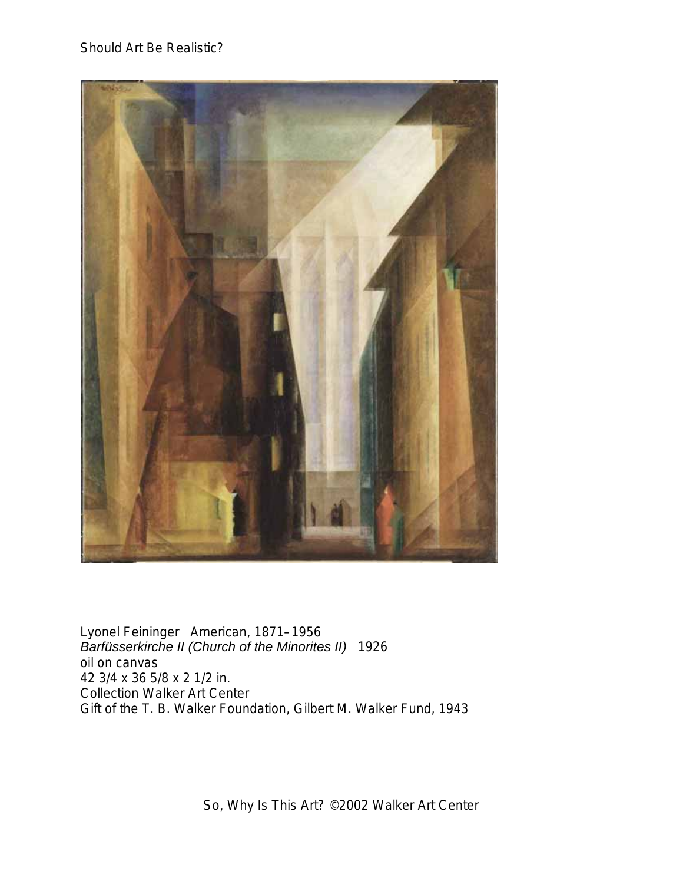

Lyonel Feininger American, 1871–1956 *Barfüsserkirche II (Church of the Minorites II)* 1926 oil on canvas 42 3/4 x 36 5/8 x 2 1/2 in. Collection Walker Art Center Gift of the T. B. Walker Foundation, Gilbert M. Walker Fund, 1943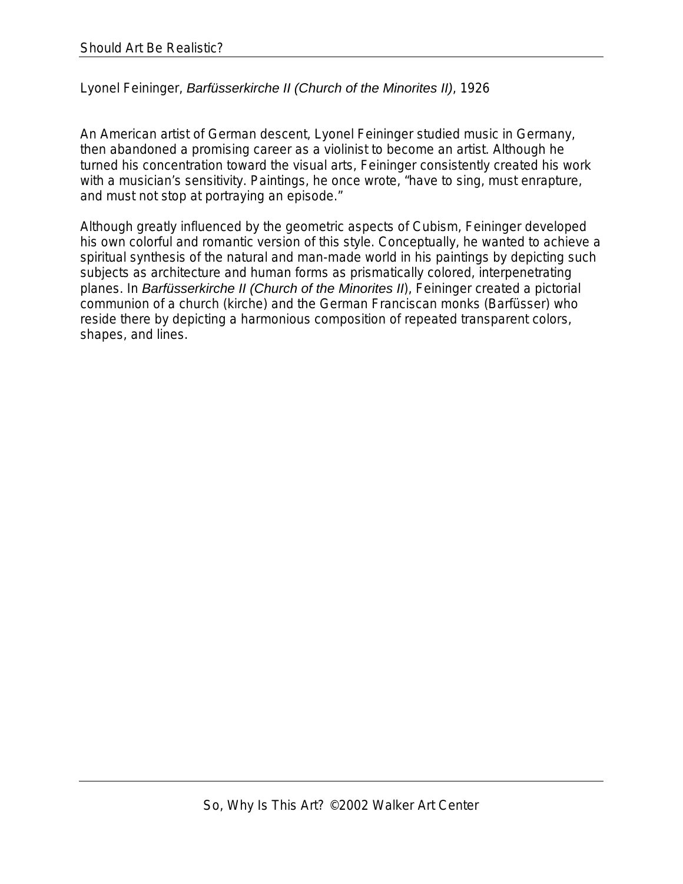Lyonel Feininger, *Barfüsserkirche II (Church of the Minorites II)*, 1926

An American artist of German descent, Lyonel Feininger studied music in Germany, then abandoned a promising career as a violinist to become an artist. Although he turned his concentration toward the visual arts, Feininger consistently created his work with a musician's sensitivity. Paintings, he once wrote, "have to sing, must enrapture, and must not stop at portraying an episode."

Although greatly influenced by the geometric aspects of Cubism, Feininger developed his own colorful and romantic version of this style. Conceptually, he wanted to achieve a spiritual synthesis of the natural and man-made world in his paintings by depicting such subjects as architecture and human forms as prismatically colored, interpenetrating planes. In *Barfüsserkirche II (Church of the Minorites II*), Feininger created a pictorial communion of a church (kirche) and the German Franciscan monks (Barfüsser) who reside there by depicting a harmonious composition of repeated transparent colors, shapes, and lines.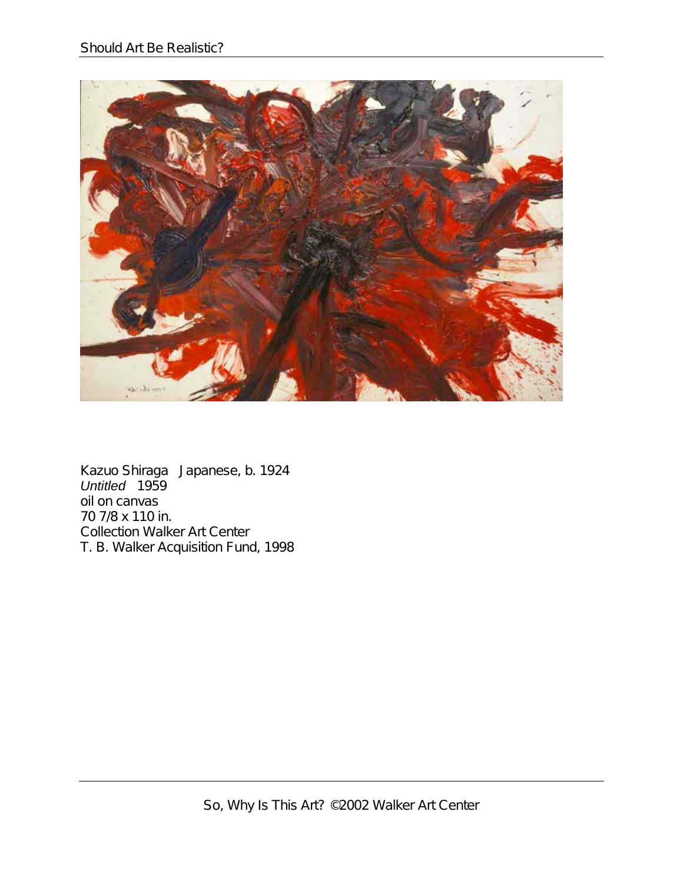

Kazuo Shiraga Japanese, b. 1924 *Untitled* 1959 oil on canvas 70 7/8 x 110 in. Collection Walker Art Center T. B. Walker Acquisition Fund, 1998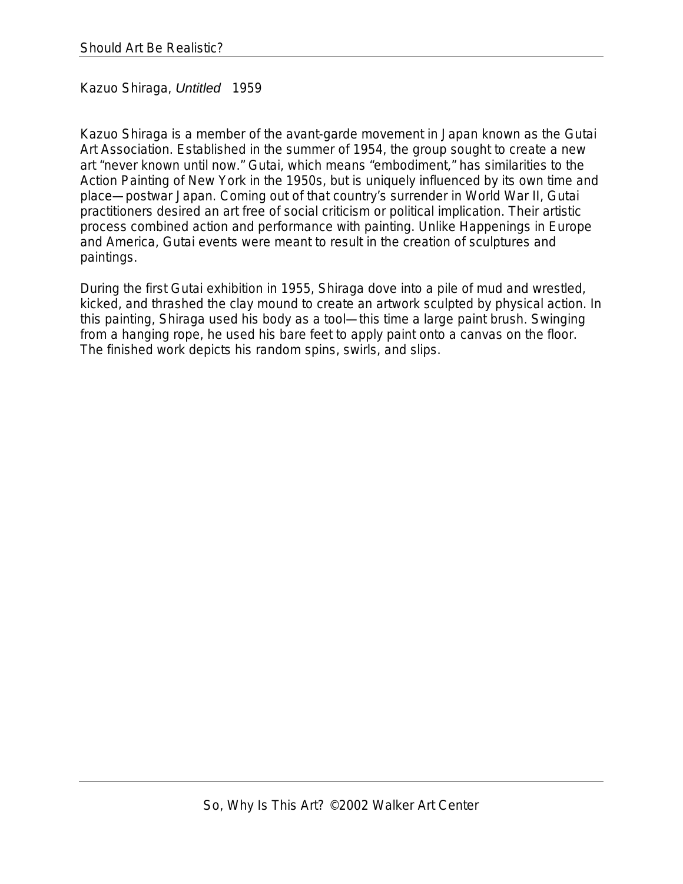Kazuo Shiraga, *Untitled* 1959

Kazuo Shiraga is a member of the avant-garde movement in Japan known as the Gutai Art Association. Established in the summer of 1954, the group sought to create a new art "never known until now." Gutai, which means "embodiment," has similarities to the Action Painting of New York in the 1950s, but is uniquely influenced by its own time and place—postwar Japan. Coming out of that country's surrender in World War II, Gutai practitioners desired an art free of social criticism or political implication. Their artistic process combined action and performance with painting. Unlike Happenings in Europe and America, Gutai events were meant to result in the creation of sculptures and paintings.

During the first Gutai exhibition in 1955, Shiraga dove into a pile of mud and wrestled, kicked, and thrashed the clay mound to create an artwork sculpted by physical action. In this painting, Shiraga used his body as a tool—this time a large paint brush. Swinging from a hanging rope, he used his bare feet to apply paint onto a canvas on the floor. The finished work depicts his random spins, swirls, and slips.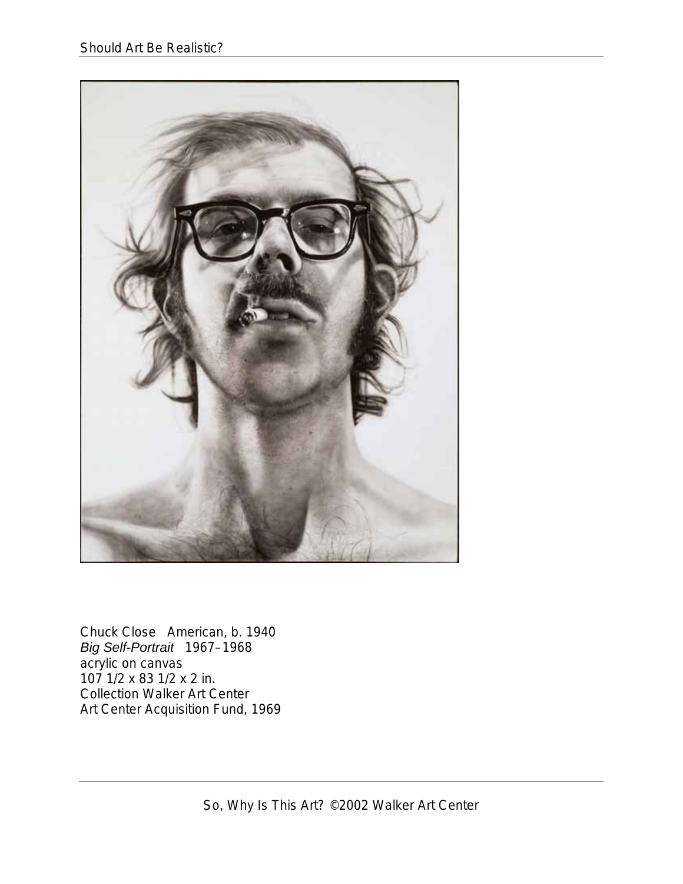

Chuck Close American, b. 1940 *Big Self-Portrait* 1967–1968 acrylic on canvas 107 1/2 x 83 1/2 x 2 in. Collection Walker Art Center Art Center Acquisition Fund, 1969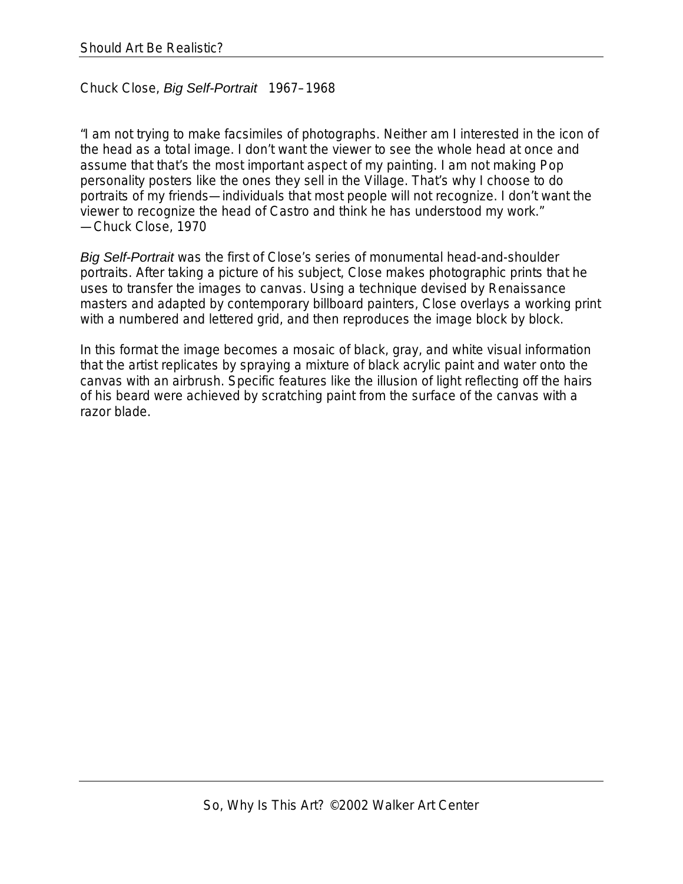## Chuck Close, *Big Self-Portrait* 1967–1968

"I am not trying to make facsimiles of photographs. Neither am I interested in the icon of the head as a total image. I don't want the viewer to see the whole head at once and assume that that's the most important aspect of my painting. I am not making Pop personality posters like the ones they sell in the Village. That's why I choose to do portraits of my friends—individuals that most people will not recognize. I don't want the viewer to recognize the head of Castro and think he has understood my work." —Chuck Close, 1970

*Big Self-Portrait* was the first of Close's series of monumental head-and-shoulder portraits. After taking a picture of his subject, Close makes photographic prints that he uses to transfer the images to canvas. Using a technique devised by Renaissance masters and adapted by contemporary billboard painters, Close overlays a working print with a numbered and lettered grid, and then reproduces the image block by block.

In this format the image becomes a mosaic of black, gray, and white visual information that the artist replicates by spraying a mixture of black acrylic paint and water onto the canvas with an airbrush. Specific features like the illusion of light reflecting off the hairs of his beard were achieved by scratching paint from the surface of the canvas with a razor blade.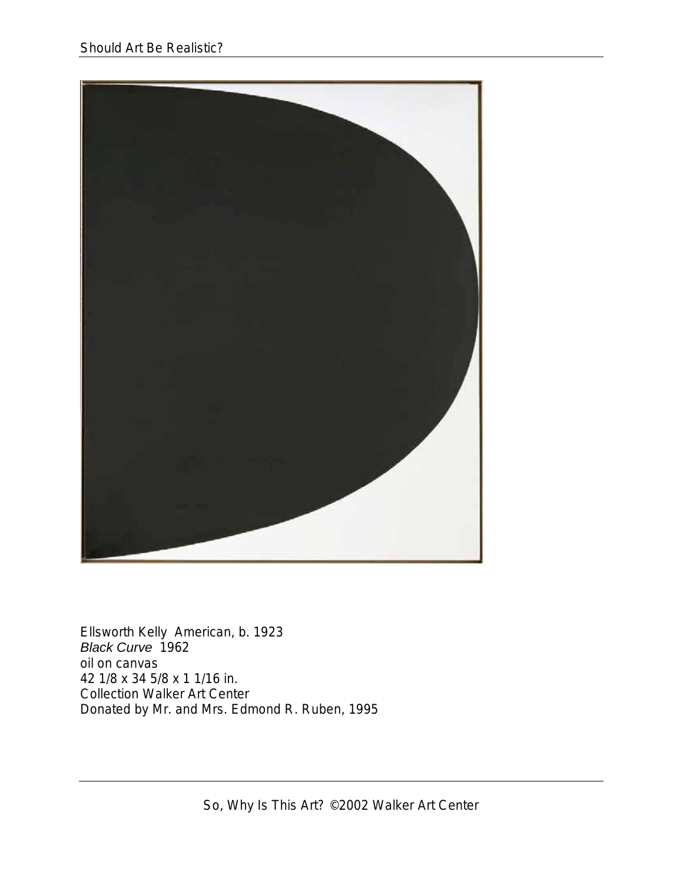

Ellsworth Kelly American, b. 1923 *Black Curve* 1962 oil on canvas 42 1/8 x 34 5/8 x 1 1/16 in. Collection Walker Art Center Donated by Mr. and Mrs. Edmond R. Ruben, 1995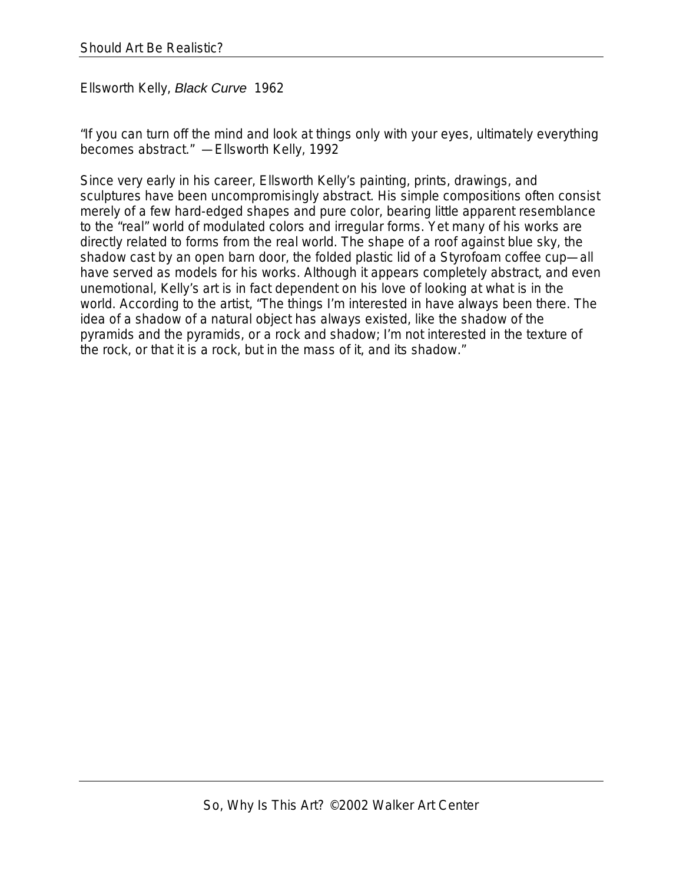Ellsworth Kelly, *Black Curve* 1962

"If you can turn off the mind and look at things only with your eyes, ultimately everything becomes abstract." —Ellsworth Kelly, 1992

Since very early in his career, Ellsworth Kelly's painting, prints, drawings, and sculptures have been uncompromisingly abstract. His simple compositions often consist merely of a few hard-edged shapes and pure color, bearing little apparent resemblance to the "real" world of modulated colors and irregular forms. Yet many of his works are directly related to forms from the real world. The shape of a roof against blue sky, the shadow cast by an open barn door, the folded plastic lid of a Styrofoam coffee cup—all have served as models for his works. Although it appears completely abstract, and even unemotional, Kelly's art is in fact dependent on his love of looking at what is in the world. According to the artist, "The things I'm interested in have always been there. The idea of a shadow of a natural object has always existed, like the shadow of the pyramids and the pyramids, or a rock and shadow; I'm not interested in the texture of the rock, or that it is a rock, but in the mass of it, and its shadow."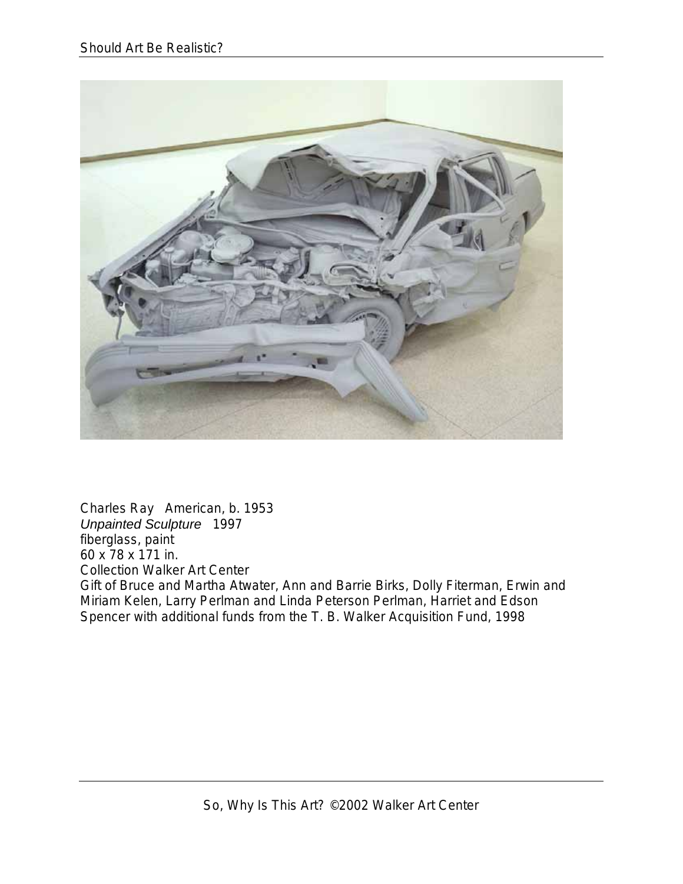

Charles Ray American, b. 1953 *Unpainted Sculpture* 1997 fiberglass, paint 60 x 78 x 171 in. Collection Walker Art Center Gift of Bruce and Martha Atwater, Ann and Barrie Birks, Dolly Fiterman, Erwin and Miriam Kelen, Larry Perlman and Linda Peterson Perlman, Harriet and Edson Spencer with additional funds from the T. B. Walker Acquisition Fund, 1998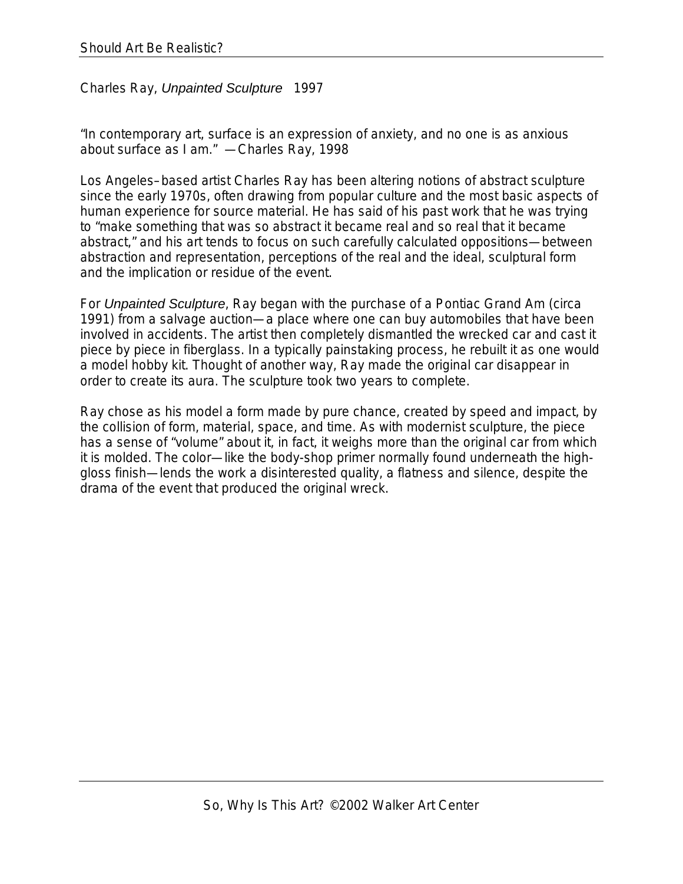Charles Ray, *Unpainted Sculpture* 1997

"In contemporary art, surface is an expression of anxiety, and no one is as anxious about surface as I am." —Charles Ray, 1998

Los Angeles–based artist Charles Ray has been altering notions of abstract sculpture since the early 1970s, often drawing from popular culture and the most basic aspects of human experience for source material. He has said of his past work that he was trying to "make something that was so abstract it became real and so real that it became abstract," and his art tends to focus on such carefully calculated oppositions—between abstraction and representation, perceptions of the real and the ideal, sculptural form and the implication or residue of the event.

For *Unpainted Sculpture*, Ray began with the purchase of a Pontiac Grand Am (circa 1991) from a salvage auction—a place where one can buy automobiles that have been involved in accidents. The artist then completely dismantled the wrecked car and cast it piece by piece in fiberglass. In a typically painstaking process, he rebuilt it as one would a model hobby kit. Thought of another way, Ray made the original car disappear in order to create its aura. The sculpture took two years to complete.

Ray chose as his model a form made by pure chance, created by speed and impact, by the collision of form, material, space, and time. As with modernist sculpture, the piece has a sense of "volume" about it, in fact, it weighs more than the original car from which it is molded. The color—like the body-shop primer normally found underneath the highgloss finish—lends the work a disinterested quality, a flatness and silence, despite the drama of the event that produced the original wreck.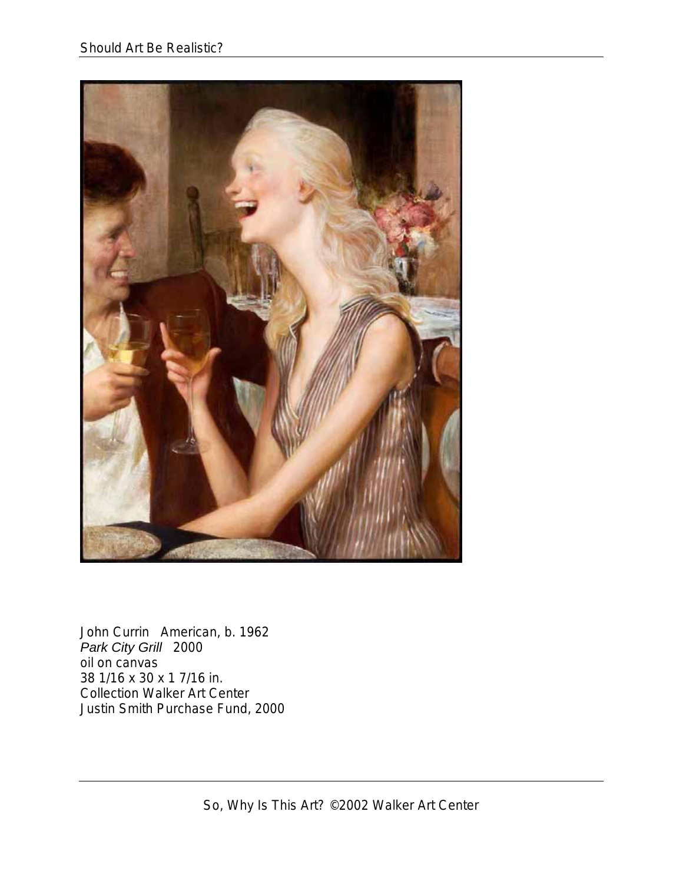

John Currin American, b. 1962 *Park City Grill* 2000 oil on canvas 38 1/16 x 30 x 1 7/16 in. Collection Walker Art Center Justin Smith Purchase Fund, 2000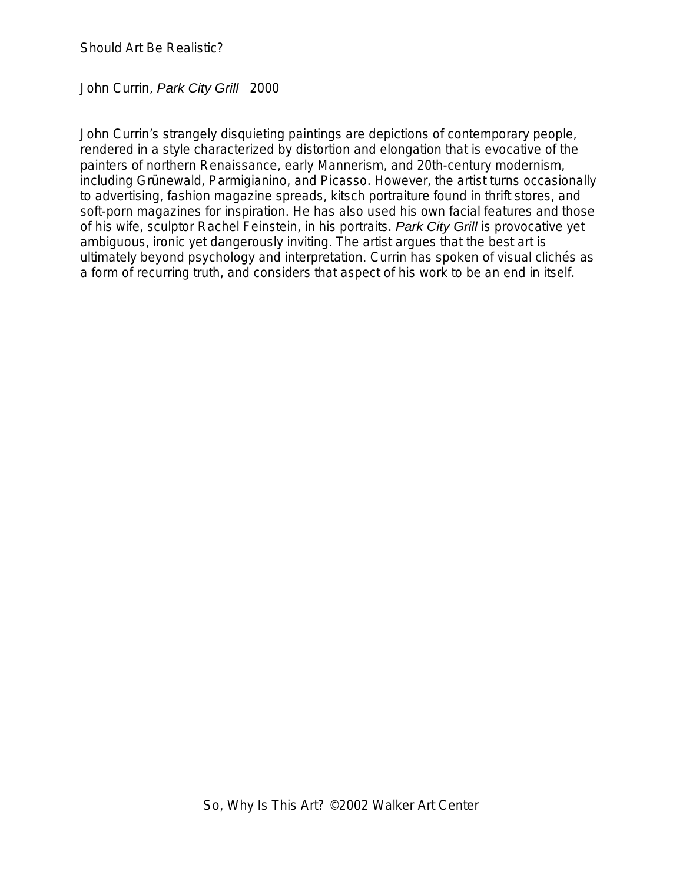John Currin, *Park City Grill* 2000

John Currin's strangely disquieting paintings are depictions of contemporary people, rendered in a style characterized by distortion and elongation that is evocative of the painters of northern Renaissance, early Mannerism, and 20th-century modernism, including Grünewald, Parmigianino, and Picasso. However, the artist turns occasionally to advertising, fashion magazine spreads, kitsch portraiture found in thrift stores, and soft-porn magazines for inspiration. He has also used his own facial features and those of his wife, sculptor Rachel Feinstein, in his portraits. *Park City Grill* is provocative yet ambiguous, ironic yet dangerously inviting. The artist argues that the best art is ultimately beyond psychology and interpretation. Currin has spoken of visual clichés as a form of recurring truth, and considers that aspect of his work to be an end in itself.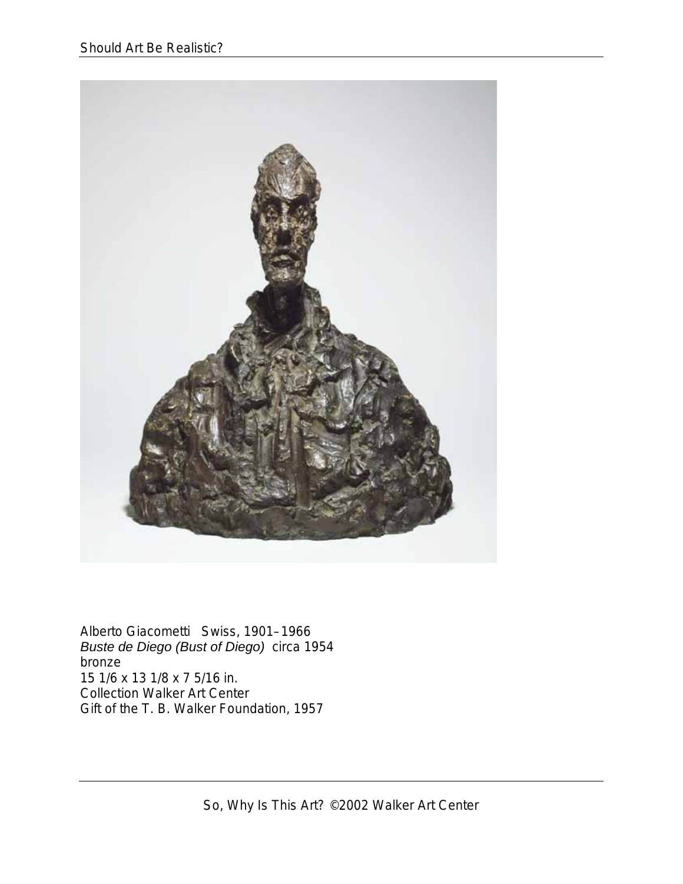

Alberto Giacometti Swiss, 1901–1966 *Buste de Diego (Bust of Diego)* circa 1954 bronze 15 1/6 x 13 1/8 x 7 5/16 in. Collection Walker Art Center Gift of the T. B. Walker Foundation, 1957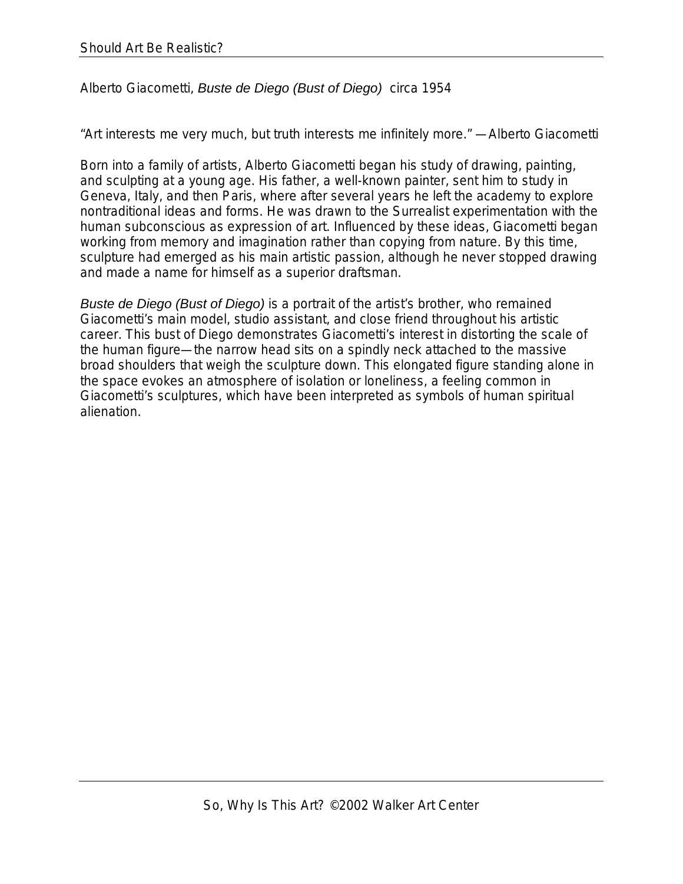## Alberto Giacometti, *Buste de Diego (Bust of Diego)* circa 1954

"Art interests me very much, but truth interests me infinitely more." —Alberto Giacometti

Born into a family of artists, Alberto Giacometti began his study of drawing, painting, and sculpting at a young age. His father, a well-known painter, sent him to study in Geneva, Italy, and then Paris, where after several years he left the academy to explore nontraditional ideas and forms. He was drawn to the Surrealist experimentation with the human subconscious as expression of art. Influenced by these ideas, Giacometti began working from memory and imagination rather than copying from nature. By this time, sculpture had emerged as his main artistic passion, although he never stopped drawing and made a name for himself as a superior draftsman.

*Buste de Diego (Bust of Diego)* is a portrait of the artist's brother, who remained Giacometti's main model, studio assistant, and close friend throughout his artistic career. This bust of Diego demonstrates Giacometti's interest in distorting the scale of the human figure—the narrow head sits on a spindly neck attached to the massive broad shoulders that weigh the sculpture down. This elongated figure standing alone in the space evokes an atmosphere of isolation or loneliness, a feeling common in Giacometti's sculptures, which have been interpreted as symbols of human spiritual alienation.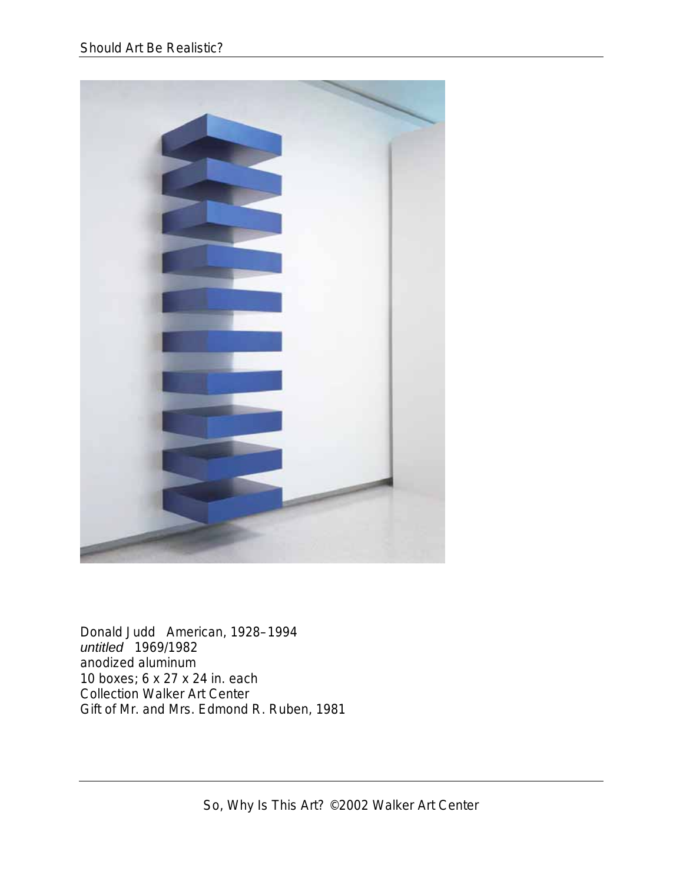

Donald Judd American, 1928–1994 *untitled* 1969/1982 anodized aluminum 10 boxes; 6 x 27 x 24 in. each Collection Walker Art Center Gift of Mr. and Mrs. Edmond R. Ruben, 1981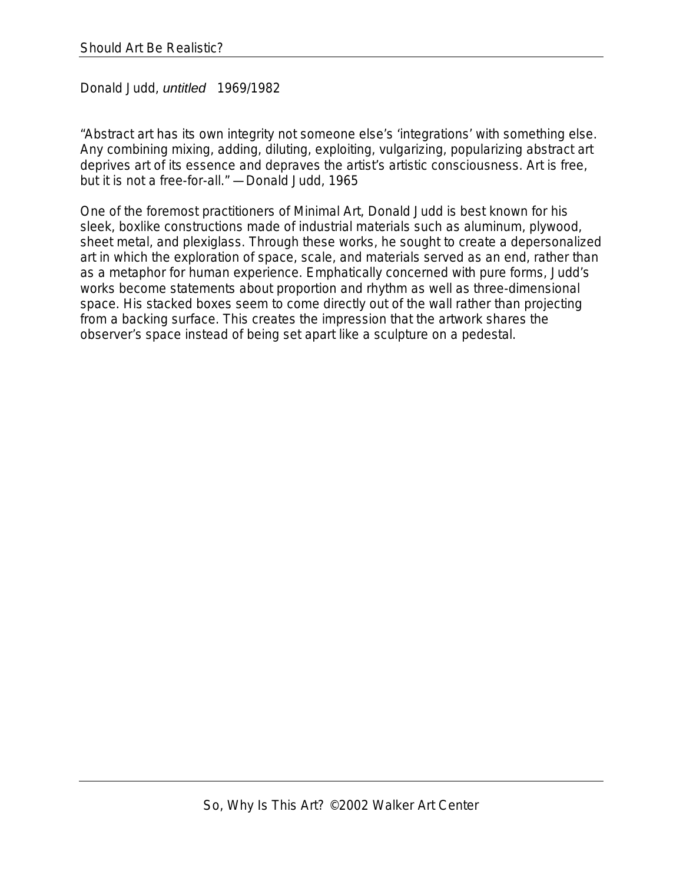Donald Judd, *untitled* 1969/1982

"Abstract art has its own integrity not someone else's 'integrations' with something else. Any combining mixing, adding, diluting, exploiting, vulgarizing, popularizing abstract art deprives art of its essence and depraves the artist's artistic consciousness. Art is free, but it is not a free-for-all." —Donald Judd, 1965

One of the foremost practitioners of Minimal Art, Donald Judd is best known for his sleek, boxlike constructions made of industrial materials such as aluminum, plywood, sheet metal, and plexiglass. Through these works, he sought to create a depersonalized art in which the exploration of space, scale, and materials served as an end, rather than as a metaphor for human experience. Emphatically concerned with pure forms, Judd's works become statements about proportion and rhythm as well as three-dimensional space. His stacked boxes seem to come directly out of the wall rather than projecting from a backing surface. This creates the impression that the artwork shares the observer's space instead of being set apart like a sculpture on a pedestal.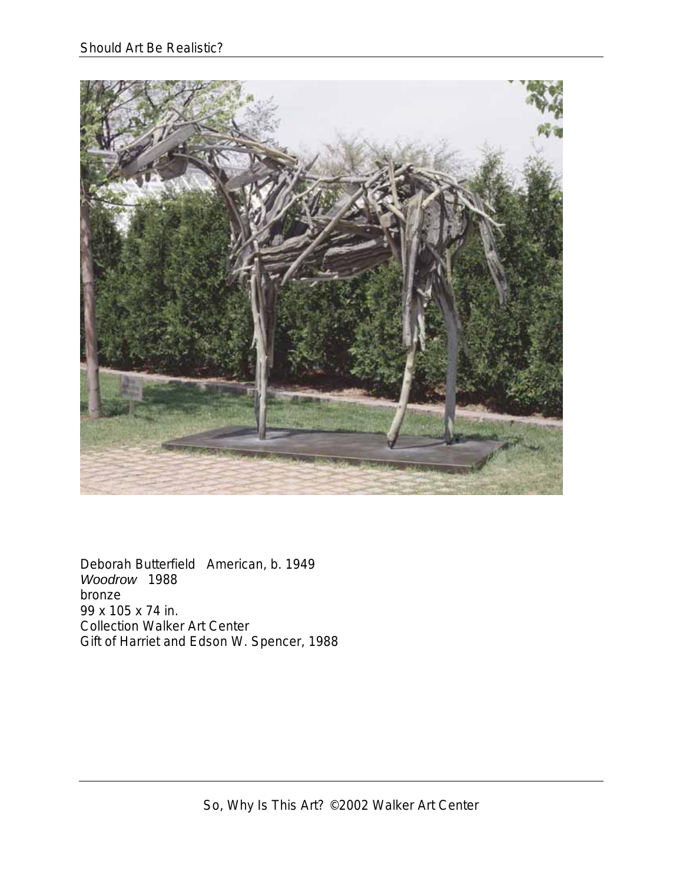

Deborah Butterfield American, b. 1949 *Woodrow* 1988 bronze 99 x 105 x 74 in. Collection Walker Art Center Gift of Harriet and Edson W. Spencer, 1988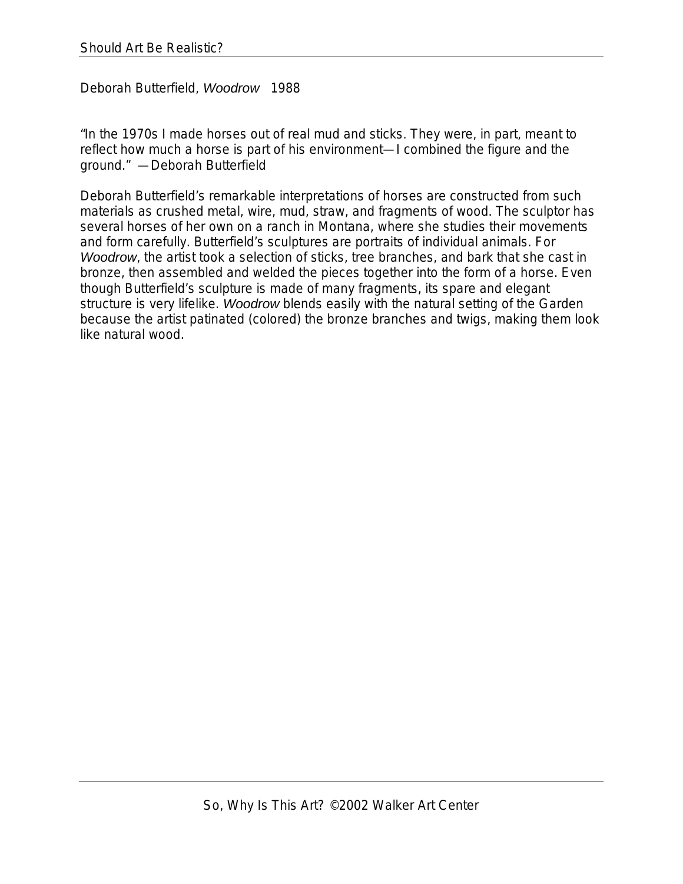Deborah Butterfield, *Woodrow* 1988

"In the 1970s I made horses out of real mud and sticks. They were, in part, meant to reflect how much a horse is part of his environment—I combined the figure and the ground." —Deborah Butterfield

Deborah Butterfield's remarkable interpretations of horses are constructed from such materials as crushed metal, wire, mud, straw, and fragments of wood. The sculptor has several horses of her own on a ranch in Montana, where she studies their movements and form carefully. Butterfield's sculptures are portraits of individual animals. For *Woodrow*, the artist took a selection of sticks, tree branches, and bark that she cast in bronze, then assembled and welded the pieces together into the form of a horse. Even though Butterfield's sculpture is made of many fragments, its spare and elegant structure is very lifelike. *Woodrow* blends easily with the natural setting of the Garden because the artist patinated (colored) the bronze branches and twigs, making them look like natural wood.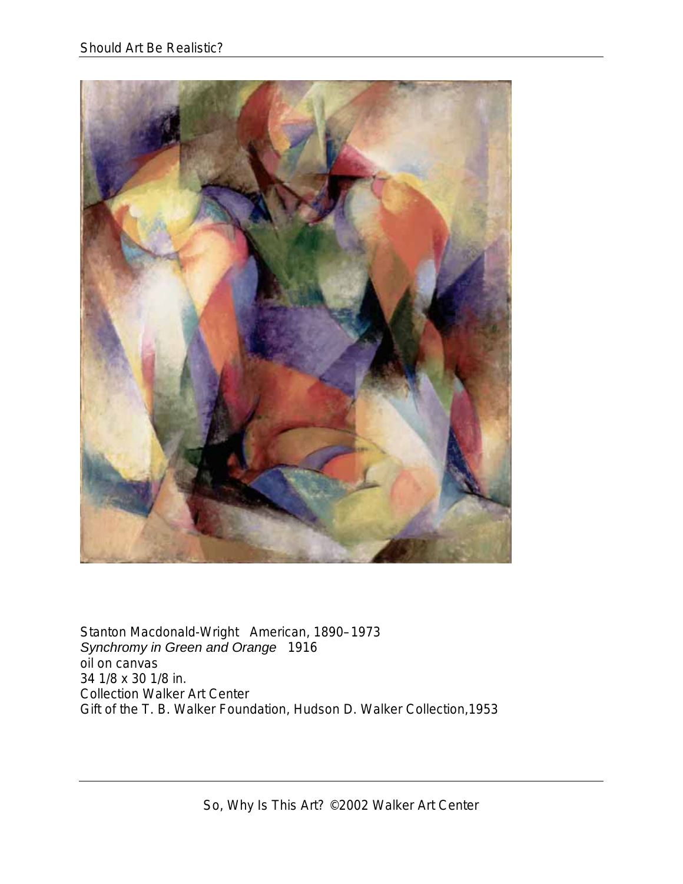

Stanton Macdonald-Wright American, 1890–1973 *Synchromy in Green and Orange* 1916 oil on canvas 34 1/8 x 30 1/8 in. Collection Walker Art Center Gift of the T. B. Walker Foundation, Hudson D. Walker Collection,1953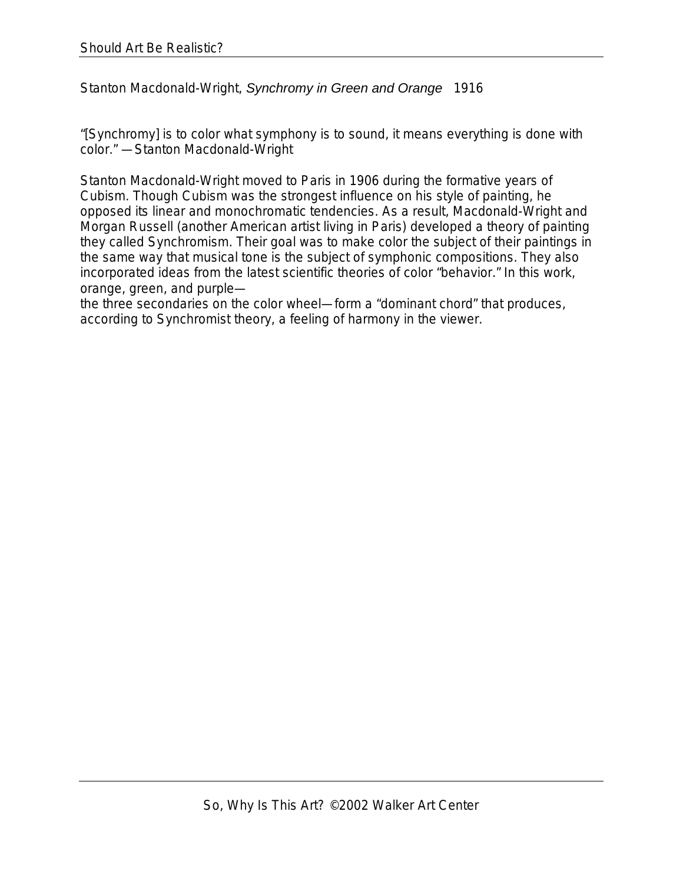Stanton Macdonald-Wright, *Synchromy in Green and Orange* 1916

"[Synchromy] is to color what symphony is to sound, it means everything is done with color." —Stanton Macdonald-Wright

Stanton Macdonald-Wright moved to Paris in 1906 during the formative years of Cubism. Though Cubism was the strongest influence on his style of painting, he opposed its linear and monochromatic tendencies. As a result, Macdonald-Wright and Morgan Russell (another American artist living in Paris) developed a theory of painting they called Synchromism. Their goal was to make color the subject of their paintings in the same way that musical tone is the subject of symphonic compositions. They also incorporated ideas from the latest scientific theories of color "behavior." In this work, orange, green, and purple—

the three secondaries on the color wheel—form a "dominant chord" that produces, according to Synchromist theory, a feeling of harmony in the viewer.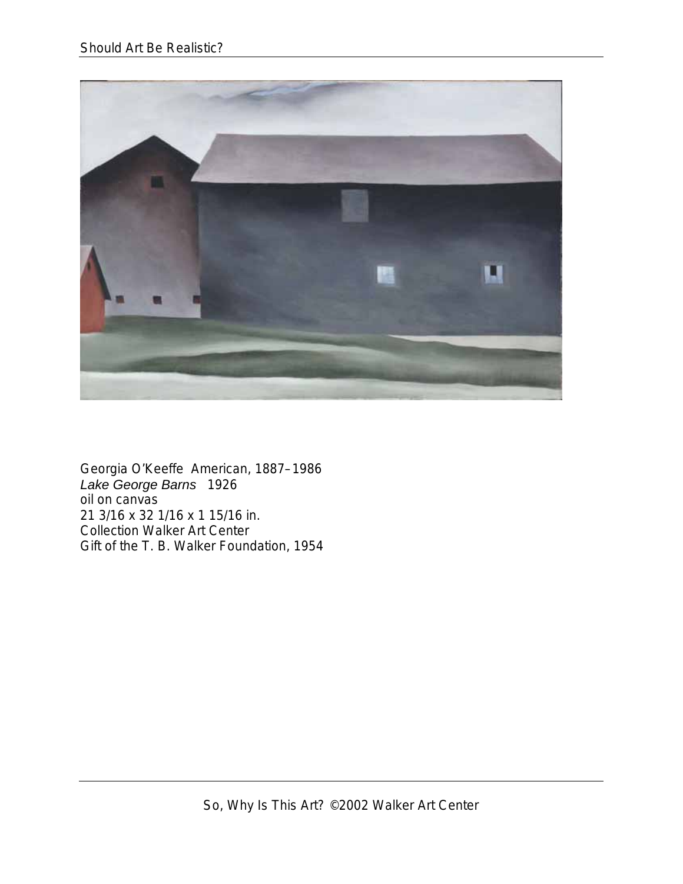

Georgia O'Keeffe American, 1887–1986 *Lake George Barns* 1926 oil on canvas 21 3/16 x 32 1/16 x 1 15/16 in. Collection Walker Art Center Gift of the T. B. Walker Foundation, 1954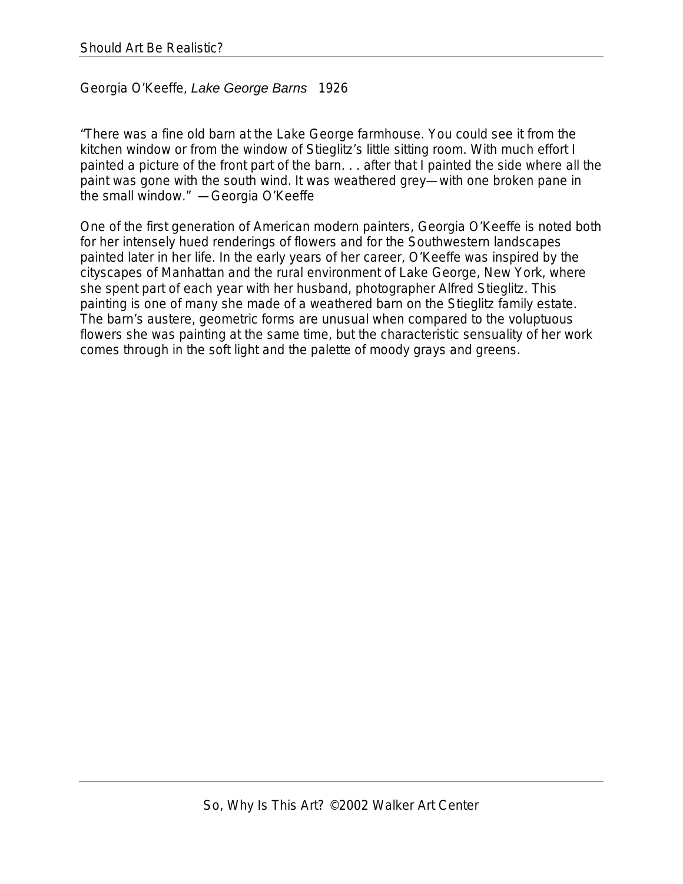Georgia O'Keeffe, *Lake George Barns* 1926

"There was a fine old barn at the Lake George farmhouse. You could see it from the kitchen window or from the window of Stieglitz's little sitting room. With much effort I painted a picture of the front part of the barn. . . after that I painted the side where all the paint was gone with the south wind. It was weathered grey—with one broken pane in the small window." —Georgia O'Keeffe

One of the first generation of American modern painters, Georgia O'Keeffe is noted both for her intensely hued renderings of flowers and for the Southwestern landscapes painted later in her life. In the early years of her career, O'Keeffe was inspired by the cityscapes of Manhattan and the rural environment of Lake George, New York, where she spent part of each year with her husband, photographer Alfred Stieglitz. This painting is one of many she made of a weathered barn on the Stieglitz family estate. The barn's austere, geometric forms are unusual when compared to the voluptuous flowers she was painting at the same time, but the characteristic sensuality of her work comes through in the soft light and the palette of moody grays and greens.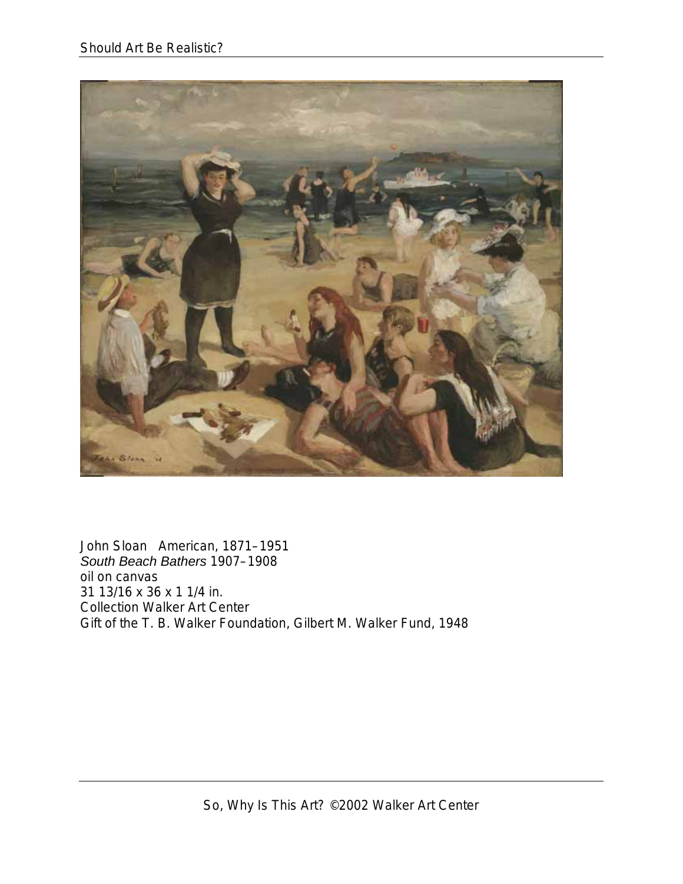

John Sloan American, 1871–1951 *South Beach Bathers* 1907–1908 oil on canvas 31 13/16 x 36 x 1 1/4 in. Collection Walker Art Center Gift of the T. B. Walker Foundation, Gilbert M. Walker Fund, 1948